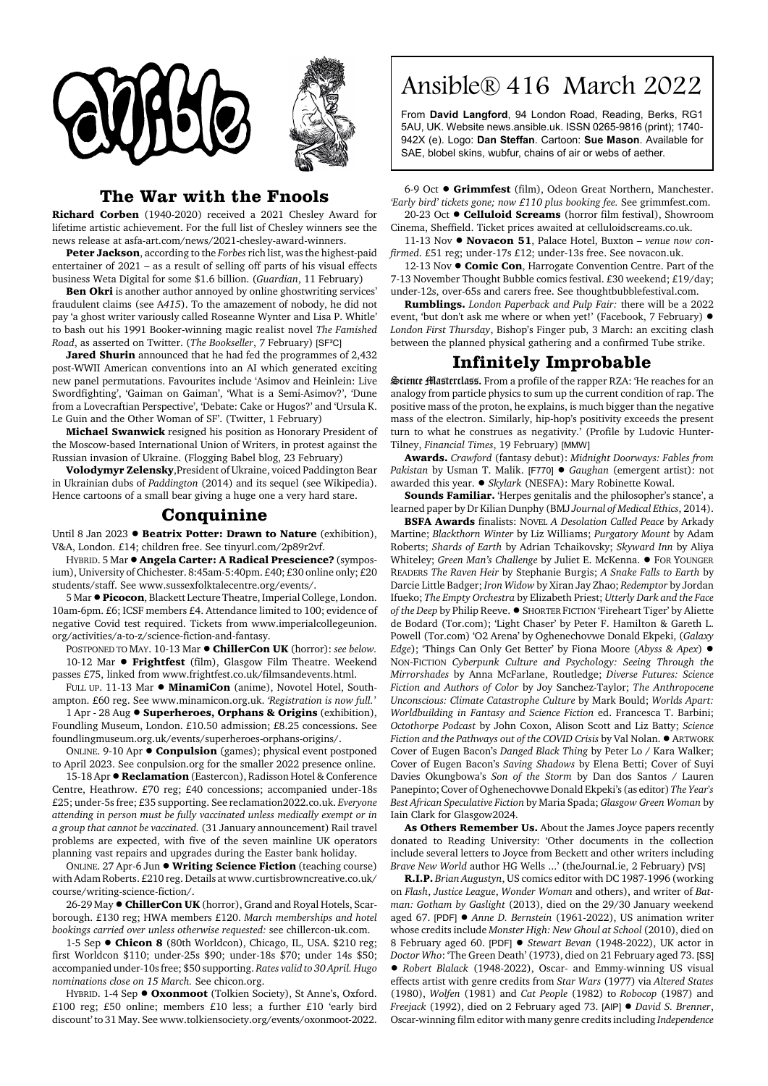



## **The War with the Fnools**

**Richard Corben** (1940-2020) received a 2021 Chesley Award for lifetime artistic achievement. For the full list of Chesley winners see the news release at asfa-art.com/news/2021-chesley-award-winners.

**Peter Jackson**, according to the *Forbes* rich list, was the highest-paid entertainer of 2021 – as a result of selling off parts of his visual effects business Weta Digital for some \$1.6 billion. (*Guardian*, 11 February)

**Ben Okri** is another author annoyed by online ghostwriting services' fraudulent claims (see A*415*). To the amazement of nobody, he did not pay 'a ghost writer variously called Roseanne Wynter and Lisa P. Whitle' to bash out his 1991 Booker-winning magic realist novel *The Famished Road*, as asserted on Twitter. (*The Bookseller*, 7 February) [SF²C]

**Jared Shurin** announced that he had fed the programmes of 2,432 post-WWII American conventions into an AI which generated exciting new panel permutations. Favourites include 'Asimov and Heinlein: Live Swordfighting', 'Gaiman on Gaiman', 'What is a Semi-Asimov?', 'Dune from a Lovecraftian Perspective', 'Debate: Cake or Hugos?' and 'Ursula K. Le Guin and the Other Woman of SF'. (Twitter, 1 February)

**Michael Swanwick** resigned his position as Honorary President of the Moscow-based International Union of Writers, in protest against the Russian invasion of Ukraine. (Flogging Babel blog, 23 February)

**Volodymyr Zelensky**,President of Ukraine, voiced Paddington Bear in Ukrainian dubs of *Paddington* (2014) and its sequel (see Wikipedia). Hence cartoons of a small bear giving a huge one a very hard stare.

## **Conquinine**

Until 8 Jan 2023 **· Beatrix Potter: Drawn to Nature** (exhibition), V&A, London. £14; children free. See tinyurl.com/2p89r2vf.

HYBRID. 5 Mar ! **Angela Carter: A Radical Prescience?** (symposium), University of Chichester. 8:45am-5:40pm. £40; £30 online only; £20 students/staff. See www.sussexfolktalecentre.org/events/.

5 Mar !**Picocon**, Blackett Lecture Theatre, Imperial College, London. 10am-6pm. £6; ICSF members £4. Attendance limited to 100; evidence of negative Covid test required. Tickets from www.imperialcollegeunion. org/activities/a-to-z/science-fiction-and-fantasy.

POSTPONED TO MAY. 10-13 Mar ! **ChillerCon UK** (horror): *see below.* 10-12 Mar  $\bullet$  Frightfest (film), Glasgow Film Theatre. Weekend passes £75, linked from www.frightfest.co.uk/filmsandevents.html.

FULL UP. 11-13 Mar  $\bullet$  **MinamiCon** (anime), Novotel Hotel, Southampton. £60 reg. See www.minamicon.org.uk. *'Registration is now full.'*

1 Apr - 28 Aug ! **Superheroes, Orphans & Origins** (exhibition), Foundling Museum, London. £10.50 admission; £8.25 concessions. See foundlingmuseum.org.uk/events/superheroes-orphans-origins/.

ONLINE. 9-10 Apr  $\bullet$  **Conpulsion** (games); physical event postponed to April 2023. See conpulsion.org for the smaller 2022 presence online.

15-18 Apr  $\bullet$  **Reclamation** (Eastercon), Radisson Hotel & Conference Centre, Heathrow. £70 reg; £40 concessions; accompanied under-18s £25; under-5s free; £35 supporting. See reclamation2022.co.uk. *Everyone attending in person must be fully vaccinated unless medically exempt or in a group that cannot be vaccinated.* (31 January announcement) Rail travel problems are expected, with five of the seven mainline UK operators planning vast repairs and upgrades during the Easter bank holiday.

ONLINE. 27 Apr-6 Jun  $\bullet$  Writing Science Fiction (teaching course) with Adam Roberts. £210 reg. Details at www.curtisbrowncreative.co.uk/ course/writing-science-fiction/.

26-29 May  $\bullet$  ChillerCon UK (horror), Grand and Royal Hotels, Scarborough. £130 reg; HWA members £120. *March memberships and hotel bookings carried over unless otherwise requested:* see chillercon-uk.com.

1-5 Sep  $\bullet$  **Chicon 8** (80th Worldcon), Chicago, IL, USA. \$210 reg; first Worldcon \$110; under-25s \$90; under-18s \$70; under 14s \$50; accompanied under-10s free; \$50 supporting. *Rates valid to 30 April. Hugo nominations close on 15 March.* See chicon.org.

HYBRID. 1-4 Sep  $\bullet$  Oxonmoot (Tolkien Society), St Anne's, Oxford. £100 reg; £50 online; members £10 less; a further £10 'early bird discount' to 31 May. See www.tolkiensociety.org/events/oxonmoot-2022.

## Ansible® 416 March 2022

From **David Langford**, 94 London Road, Reading, Berks, RG1 5AU, UK. Website news.ansible.uk. ISSN 0265-9816 (print); 1740- 942X (e). Logo: **Dan Steffan**. Cartoon: **Sue Mason**. Available for SAE, blobel skins, wubfur, chains of air or webs of aether.

6-9 Oct  $\bullet$  Grimmfest (film), Odeon Great Northern, Manchester. *'Early bird' tickets gone; now £110 plus booking fee.* See grimmfest.com. 20-23 Oct ! **Celluloid Screams** (horror film festival), Showroom

Cinema, Sheffield. Ticket prices awaited at celluloidscreams.co.uk.

11-13 Nov ! **Novacon 51**, Palace Hotel, Buxton – *venue now confirmed*. £51 reg; under-17s £12; under-13s free. See novacon.uk.

12-13 Nov  $\bullet$  **Comic Con**, Harrogate Convention Centre. Part of the 7-13 November Thought Bubble comics festival. £30 weekend; £19/day; under-12s, over-65s and carers free. See thoughtbubblefestival.com.

**Rumblings.** *London Paperback and Pulp Fair:* there will be a 2022 event, 'but don't ask me where or when yet!' (Facebook, 7 February)  $\bullet$ *London First Thursday*, Bishop's Finger pub, 3 March: an exciting clash between the planned physical gathering and a confirmed Tube strike.

## **Infinitely Improbable**

Science Masterclass. From a profile of the rapper RZA: 'He reaches for an analogy from particle physics to sum up the current condition of rap. The positive mass of the proton, he explains, is much bigger than the negative mass of the electron. Similarly, hip-hop's positivity exceeds the present turn to what he construes as negativity.' (Profile by Ludovic Hunter-Tilney, *Financial Times*, 19 February) [MMW]

**Awards.** *Crawford* (fantasy debut): *Midnight Doorways: Fables from Pakistan* by Usman T. Malik. [F770] ! *Gaughan* (emergent artist): not awarded this year. ! *Skylark* (NESFA): Mary Robinette Kowal.

**Sounds Familiar.** 'Herpes genitalis and the philosopher's stance', a learned paper by Dr Kilian Dunphy (BMJ *Journal of Medical Ethics*, 2014).

**BSFA Awards** finalists: NOVEL *A Desolation Called Peace* by Arkady Martine; *Blackthorn Winter* by Liz Williams; *Purgatory Mount* by Adam Roberts; *Shards of Earth* by Adrian Tchaikovsky; *Skyward Inn* by Aliya Whiteley; Green Man's Challenge by Juliet E. McKenna. . FOR YOUNGER READERS *The Raven Heir* by Stephanie Burgis; *A Snake Falls to Earth* by Darcie Little Badger; *Iron Widow* by Xiran Jay Zhao; *Redemptor* by Jordan Ifueko; *The Empty Orchestra* by Elizabeth Priest; *Utterly Dark and the Face of the Deep* by Philip Reeve. ● SHORTER FICTION 'Fireheart Tiger' by Aliette de Bodard (Tor.com); 'Light Chaser' by Peter F. Hamilton & Gareth L. Powell (Tor.com) 'O2 Arena' by Oghenechovwe Donald Ekpeki, (*Galaxy Edge*); 'Things Can Only Get Better' by Fiona Moore (*Abyss & Apex*) ! NON-FICTION *Cyberpunk Culture and Psychology: Seeing Through the Mirrorshades* by Anna McFarlane, Routledge; *Diverse Futures: Science Fiction and Authors of Color* by Joy Sanchez-Taylor; *The Anthropocene Unconscious: Climate Catastrophe Culture* by Mark Bould; *Worlds Apart: Worldbuilding in Fantasy and Science Fiction* ed. Francesca T. Barbini; *Octothorpe Podcast* by John Coxon, Alison Scott and Liz Batty; *Science Fiction and the Pathways out of the COVID Crisis* by Val Nolan.  $\bullet$  ARTWORK Cover of Eugen Bacon's *Danged Black Thing* by Peter Lo / Kara Walker; Cover of Eugen Bacon's *Saving Shadows* by Elena Betti; Cover of Suyi Davies Okungbowa's *Son of the Storm* by Dan dos Santos / Lauren Panepinto; Cover of Oghenechovwe Donald Ekpeki's (as editor) *The Year's Best African Speculative Fiction* by Maria Spada; *Glasgow Green Woman* by Iain Clark for Glasgow2024.

**As Others Remember Us.** About the James Joyce papers recently donated to Reading University: 'Other documents in the collection include several letters to Joyce from Beckett and other writers including *Brave New World* author HG Wells ...' (theJournal.ie, 2 February) [VS]

**R.I.P.** *Brian Augustyn*, US comics editor with DC 1987-1996 (working on *Flash*, *Justice League*, *Wonder Woman* and others), and writer of *Batman: Gotham by Gaslight* (2013), died on the 29/30 January weekend aged 67. [PDF] ! *Anne D. Bernstein* (1961-2022), US animation writer whose credits include *Monster High: New Ghoul at School* (2010), died on 8 February aged 60. [PDF]  $\bullet$  *Stewart Bevan* (1948-2022), UK actor in *Doctor Who*: 'The Green Death' (1973), died on 21 February aged 73. [SS] ! *Robert Blalack* (1948-2022), Oscar- and Emmy-winning US visual effects artist with genre credits from *Star Wars* (1977) via *Altered States* (1980), *Wolfen* (1981) and *Cat People* (1982) to *Robocop* (1987) and *Freejack* (1992), died on 2 February aged 73. [AIP] ! *David S. Brenner*, Oscar-winning film editor with many genre credits including *Independence*